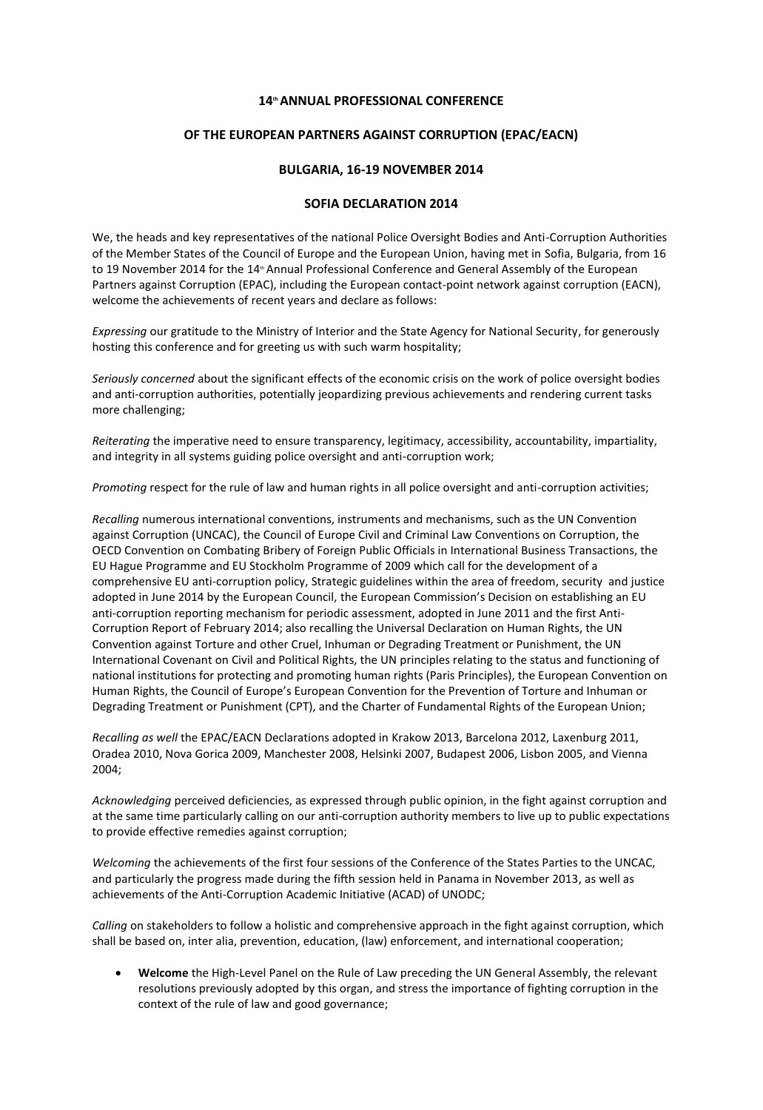## **14 thANNUAL PROFESSIONAL CONFERENCE**

## **OF THE EUROPEAN PARTNERS AGAINST CORRUPTION (EPAC/EACN)**

## **BULGARIA, 16-19 NOVEMBER 2014**

## **SOFIA DECLARATION 2014**

We, the heads and key representatives of the national Police Oversight Bodies and Anti-Corruption Authorities of the Member States of the Council of Europe and the European Union, having met in Sofia, Bulgaria, from 16 to 19 November 2014 for the 14<sup>th</sup> Annual Professional Conference and General Assembly of the European Partners against Corruption (EPAC), including the European contact-point network against corruption (EACN), welcome the achievements of recent years and declare as follows:

*Expressing* our gratitude to the Ministry of Interior and the State Agency for National Security, for generously hosting this conference and for greeting us with such warm hospitality;

*Seriously concerned* about the significant effects of the economic crisis on the work of police oversight bodies and anti-corruption authorities, potentially jeopardizing previous achievements and rendering current tasks more challenging;

*Reiterating* the imperative need to ensure transparency, legitimacy, accessibility, accountability, impartiality, and integrity in all systems guiding police oversight and anti-corruption work;

*Promoting* respect for the rule of law and human rights in all police oversight and anti-corruption activities;

*Recalling* numerous international conventions, instruments and mechanisms, such as the UN Convention against Corruption (UNCAC), the Council of Europe Civil and Criminal Law Conventions on Corruption, the OECD Convention on Combating Bribery of Foreign Public Officials in International Business Transactions, the EU Hague Programme and EU Stockholm Programme of 2009 which call for the development of a comprehensive EU anti-corruption policy, Strategic guidelines within the area of freedom, security and justice adopted in June 2014 by the European Council, the European Commission's Decision on establishing an EU anti-corruption reporting mechanism for periodic assessment, adopted in June 2011 and the first Anti-Corruption Report of February 2014; also recalling the Universal Declaration on Human Rights, the UN Convention against Torture and other Cruel, Inhuman or Degrading Treatment or Punishment, the UN International Covenant on Civil and Political Rights, the UN principles relating to the status and functioning of national institutions for protecting and promoting human rights (Paris Principles), the European Convention on Human Rights, the Council of Europe's European Convention for the Prevention of Torture and Inhuman or Degrading Treatment or Punishment (CPT), and the Charter of Fundamental Rights of the European Union;

*Recalling as well* the EPAC/EACN Declarations adopted in Krakow 2013, Barcelona 2012, Laxenburg 2011, Oradea 2010, Nova Gorica 2009, Manchester 2008, Helsinki 2007, Budapest 2006, Lisbon 2005, and Vienna 2004;

*Acknowledging* perceived deficiencies, as expressed through public opinion, in the fight against corruption and at the same time particularly calling on our anti-corruption authority members to live up to public expectations to provide effective remedies against corruption;

*Welcoming* the achievements of the first four sessions of the Conference of the States Parties to the UNCAC, and particularly the progress made during the fifth session held in Panama in November 2013, as well as achievements of the Anti-Corruption Academic Initiative (ACAD) of UNODC;

*Calling* on stakeholders to follow a holistic and comprehensive approach in the fight against corruption, which shall be based on, inter alia, prevention, education, (law) enforcement, and international cooperation;

 **Welcome** the High-Level Panel on the Rule of Law preceding the UN General Assembly, the relevant resolutions previously adopted by this organ, and stress the importance of fighting corruption in the context of the rule of law and good governance;